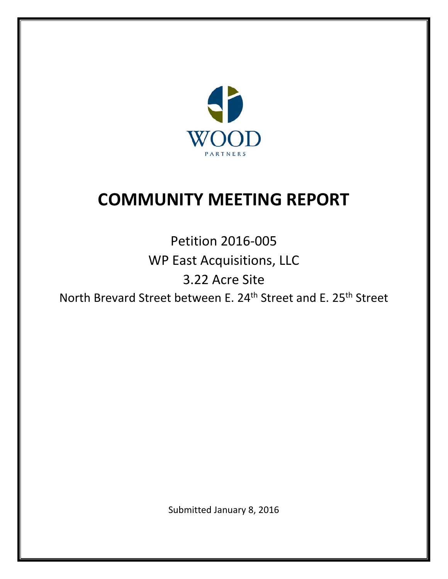

# **COMMUNITY MEETING REPORT**

Petition 2016‐005 WP East Acquisitions, LLC 3.22 Acre Site North Brevard Street between E. 24<sup>th</sup> Street and E. 25<sup>th</sup> Street

Submitted January 8, 2016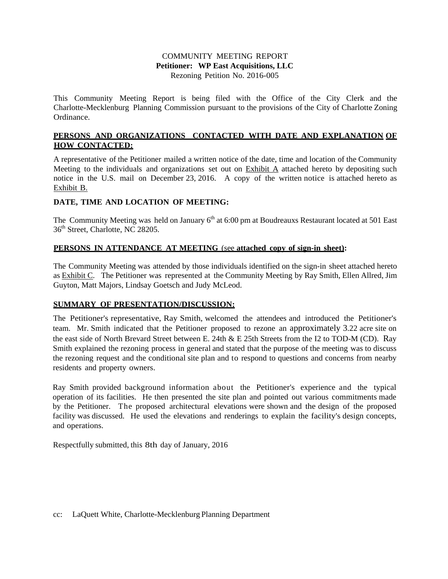#### COMMUNITY MEETING REPORT **Petitioner: WP East Acquisitions, LLC** Rezoning Petition No. 2016-005

This Community Meeting Report is being filed with the Office of the City Clerk and the Charlotte-Mecklenburg Planning Commission pursuant to the provisions of the City of Charlotte Zoning Ordinance.

# **PERSONS AND ORGANIZATIONS CONTACTED WITH DATE AND EXPLANATION OF HOW CONTACTED:**

A representative of the Petitioner mailed a written notice of the date, time and location of the Community Meeting to the individuals and organizations set out on Exhibit A attached hereto by depositing such notice in the U.S. mail on December 23, 2016. A copy of the written notice is attached hereto as Exhibit B.

# **DATE, TIME AND LOCATION OF MEETING:**

The Community Meeting was held on January 6<sup>th</sup> at 6:00 pm at Boudreauxs Restaurant located at 501 East 36<sup>th</sup> Street, Charlotte, NC 28205.

## **PERSONS IN ATTENDANCE AT MEETING** (see **attached copy of sign-in sheet):**

The Community Meeting was attended by those individuals identified on the sign-in sheet attached hereto as Exhibit C. The Petitioner was represented at the Community Meeting by Ray Smith, Ellen Allred, Jim Guyton, Matt Majors, Lindsay Goetsch and Judy McLeod.

#### **SUMMARY OF PRESENTATION/DISCUSSION:**

The Petitioner's representative, Ray Smith, welcomed the attendees and introduced the Petitioner's team. Mr. Smith indicated that the Petitioner proposed to rezone an approximately 3.22 acre site on the east side of North Brevard Street between E. 24th & E 25th Streets from the I2 to TOD-M (CD). Ray Smith explained the rezoning process in general and stated that the purpose of the meeting was to discuss the rezoning request and the conditional site plan and to respond to questions and concerns from nearby residents and property owners.

Ray Smith provided background information about the Petitioner's experience and the typical operation of its facilities. He then presented the site plan and pointed out various commitments made by the Petitioner. The proposed architectural elevations were shown and the design of the proposed facility was discussed. He used the elevations and renderings to explain the facility's design concepts, and operations.

Respectfully submitted, this 8th day of January, 2016

#### cc: LaQuett White, Charlotte-Mecklenburg Planning Department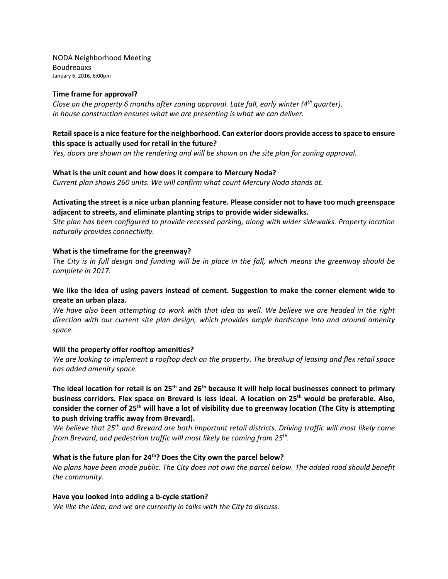NODA Neighborhood Meeting Boudreauxs January 6, 2016, 6:00pm

#### **Time frame for approval?**

*Close on the property 6 months after zoning approval. Late fall, early winter (4th quarter). In house construction ensures what we are presenting is what we can deliver.*

#### **Retailspace is a nice feature for the neighborhood. Can exterior doors provide accessto space to ensure this space is actually used for retail in the future?**

*Yes, doors are shown on the rendering and will be shown on the site plan for zoning approval.*

#### **What is the unit count and how does it compare to Mercury Noda?**

*Current plan shows 260 units. We will confirm what count Mercury Noda stands at.*

#### **Activating the street is a nice urban planning feature. Please consider not to have too much greenspace adjacent to streets, and eliminate planting strips to provide wider sidewalks.**

*Site plan has been configured to provide recessed parking, along with wider sidewalks. Property location naturally provides connectivity.*

#### **What is the timeframe for the greenway?**

The City is in full design and funding will be in place in the fall, which means the greenway should be *complete in 2017.*

### **We like the idea of using pavers instead of cement. Suggestion to make the corner element wide to create an urban plaza.**

We have also been attempting to work with that idea as well. We believe we are headed in the right *direction with our current site plan design, which provides ample hardscape into and around amenity space.*

#### **Will the property offer rooftop amenities?**

We are looking to implement a rooftop deck on the property. The breakup of leasing and flex retail space *has added amenity space.*

The ideal location for retail is on 25<sup>th</sup> and 26<sup>th</sup> because it will help local businesses connect to primary **business corridors. Flex space on Brevard is less ideal. A location on 25th would be preferable. Also,** consider the corner of 25<sup>th</sup> will have a lot of visibility due to greenway location (The City is attempting **to push driving traffic away from Brevard).** 

We believe that 25<sup>th</sup> and Brevard are both important retail districts. Driving traffic will most likely come *from Brevard, and pedestrian traffic will most likely be coming from 25th.* 

#### **What is the future plan for 24th? Does the City own the parcel below?**

No plans have been made public. The City does not own the parcel below. The added road should benefit *the community.*

#### **Have you looked into adding a b‐cycle station?**

*We like the idea, and we are currently in talks with the City to discuss.*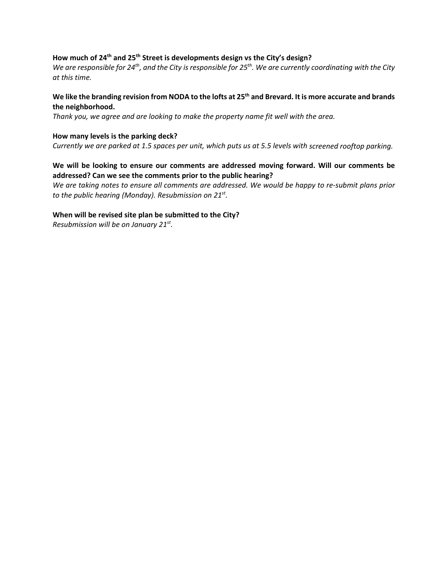# **How much of 24th and 25th Street is developments design vs the City's design?**

We are responsible for  $24^{th}$ , and the City is responsible for  $25^{th}$ . We are currently coordinating with the City *at this time.* 

# We like the branding revision from NODA to the lofts at 25<sup>th</sup> and Brevard. It is more accurate and brands **the neighborhood.**

*Thank you, we agree and are looking to make the property name fit well with the area.*

#### **How many levels is the parking deck?**

Currently we are parked at 1.5 spaces per unit, which puts us at 5.5 levels with screened rooftop parking.

## **We will be looking to ensure our comments are addressed moving forward. Will our comments be addressed? Can we see the comments prior to the public hearing?**

We are taking notes to ensure all comments are addressed. We would be happy to re-submit plans prior *to the public hearing (Monday). Resubmission on 21st.* 

#### **When will be revised site plan be submitted to the City?**

*Resubmission will be on January 21st.*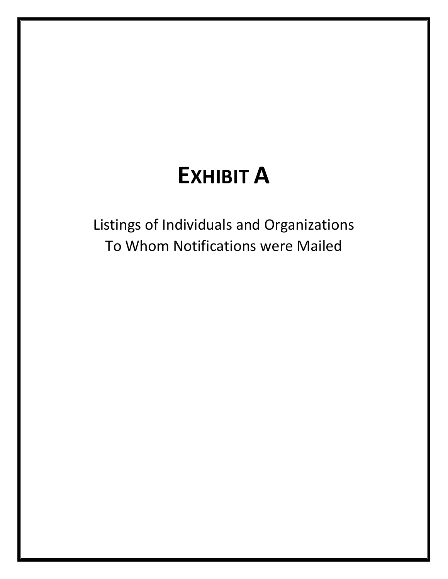# **EXHIBIT A**

Listings of Individuals and Organizations To Whom Notifications were Mailed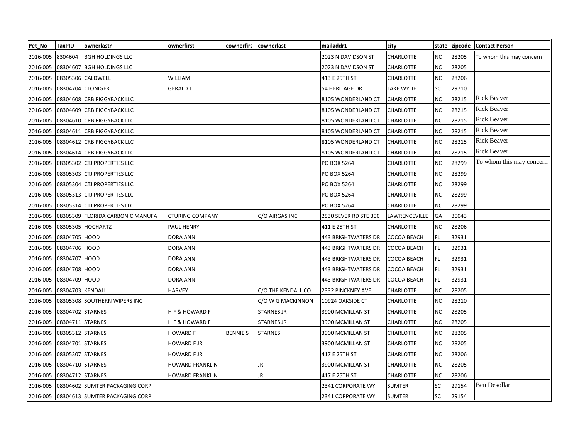| Pet No   | <b>TaxPID</b>     | ownerlastn                       | ownerfirst               | cownerfirs      | cownerlast         | mailaddr1                  | city             | state     | zipcode | <b>Contact Person</b>    |
|----------|-------------------|----------------------------------|--------------------------|-----------------|--------------------|----------------------------|------------------|-----------|---------|--------------------------|
| 2016-005 | 8304604           | <b>BGH HOLDINGS LLC</b>          |                          |                 |                    | 2023 N DAVIDSON ST         | <b>CHARLOTTE</b> | NC        | 28205   | To whom this may concern |
| 2016-005 |                   | 08304607 BGH HOLDINGS LLC        |                          |                 |                    | 2023 N DAVIDSON ST         | CHARLOTTE        | <b>NC</b> | 28205   |                          |
| 2016-005 |                   | 08305306 CALDWELL                | <b>WILLIAM</b>           |                 |                    | 413 E 25TH ST              | CHARLOTTE        | <b>NC</b> | 28206   |                          |
| 2016-005 | 08304704 CLONIGER |                                  | <b>GERALD T</b>          |                 |                    | 54 HERITAGE DR             | LAKE WYLIE       | SC        | 29710   |                          |
| 2016-005 |                   | 08304608 CRB PIGGYBACK LLC       |                          |                 |                    | 8105 WONDERLAND CT         | <b>CHARLOTTE</b> | <b>NC</b> | 28215   | <b>Rick Beaver</b>       |
| 2016-005 |                   | 08304609 CRB PIGGYBACK LLC       |                          |                 |                    | 8105 WONDERLAND CT         | CHARLOTTE        | <b>NC</b> | 28215   | <b>Rick Beaver</b>       |
| 2016-005 |                   | 08304610 CRB PIGGYBACK LLC       |                          |                 |                    | 8105 WONDERLAND CT         | <b>CHARLOTTE</b> | <b>NC</b> | 28215   | <b>Rick Beaver</b>       |
| 2016-005 |                   | 08304611 CRB PIGGYBACK LLC       |                          |                 |                    | 8105 WONDERLAND CT         | CHARLOTTE        | <b>NC</b> | 28215   | <b>Rick Beaver</b>       |
| 2016-005 |                   | 08304612 CRB PIGGYBACK LLC       |                          |                 |                    | 8105 WONDERLAND CT         | CHARLOTTE        | <b>NC</b> | 28215   | <b>Rick Beaver</b>       |
| 2016-005 |                   | 08304614 CRB PIGGYBACK LLC       |                          |                 |                    | 8105 WONDERLAND CT         | <b>CHARLOTTE</b> | <b>NC</b> | 28215   | <b>Rick Beaver</b>       |
| 2016-005 |                   | 08305302 CTJ PROPERTIES LLC      |                          |                 |                    | PO BOX 5264                | CHARLOTTE        | <b>NC</b> | 28299   | To whom this may concern |
| 2016-005 |                   | 08305303 CTJ PROPERTIES LLC      |                          |                 |                    | PO BOX 5264                | <b>CHARLOTTE</b> | <b>NC</b> | 28299   |                          |
| 2016-005 |                   | 08305304 CTJ PROPERTIES LLC      |                          |                 |                    | PO BOX 5264                | CHARLOTTE        | <b>NC</b> | 28299   |                          |
| 2016-005 |                   | 08305313 CTJ PROPERTIES LLC      |                          |                 |                    | PO BOX 5264                | CHARLOTTE        | <b>NC</b> | 28299   |                          |
| 2016-005 |                   | 08305314 CTJ PROPERTIES LLC      |                          |                 |                    | PO BOX 5264                | <b>CHARLOTTE</b> | <b>NC</b> | 28299   |                          |
| 2016-005 |                   | 08305309 FLORIDA CARBONIC MANUFA | <b>CTURING COMPANY</b>   |                 | C/O AIRGAS INC     | 2530 SEVER RD STE 300      | LAWRENCEVILLE    | GA        | 30043   |                          |
| 2016-005 |                   | 08305305 HOCHARTZ                | PAUL HENRY               |                 |                    | 411 E 25TH ST              | <b>CHARLOTTE</b> | NC        | 28206   |                          |
| 2016-005 | 08304705 HOOD     |                                  | <b>DORA ANN</b>          |                 |                    | <b>443 BRIGHTWATERS DR</b> | COCOA BEACH      | FL        | 32931   |                          |
| 2016-005 | 08304706 HOOD     |                                  | DORA ANN                 |                 |                    | 443 BRIGHTWATERS DR        | COCOA BEACH      | FL        | 32931   |                          |
| 2016-005 | 08304707 HOOD     |                                  | <b>DORA ANN</b>          |                 |                    | 443 BRIGHTWATERS DR        | COCOA BEACH      | <b>FL</b> | 32931   |                          |
| 2016-005 | 08304708 HOOD     |                                  | <b>DORA ANN</b>          |                 |                    | <b>443 BRIGHTWATERS DR</b> | COCOA BEACH      | <b>FL</b> | 32931   |                          |
| 2016-005 | 08304709 HOOD     |                                  | <b>DORA ANN</b>          |                 |                    | 443 BRIGHTWATERS DR        | COCOA BEACH      | FL        | 32931   |                          |
| 2016-005 | 08304703 KENDALL  |                                  | <b>HARVEY</b>            |                 | C/O THE KENDALL CO | 2332 PINCKNEY AVE          | CHARLOTTE        | <b>NC</b> | 28205   |                          |
| 2016-005 |                   | 08305308 SOUTHERN WIPERS INC     |                          |                 | C/O W G MACKINNON  | 10924 OAKSIDE CT           | CHARLOTTE        | NC        | 28210   |                          |
| 2016-005 | 08304702 STARNES  |                                  | <b>HF &amp; HOWARD F</b> |                 | <b>STARNES JR</b>  | 3900 MCMILLAN ST           | <b>CHARLOTTE</b> | <b>NC</b> | 28205   |                          |
| 2016-005 | 08304711 STARNES  |                                  | <b>HF &amp; HOWARD F</b> |                 | <b>STARNES JR</b>  | 3900 MCMILLAN ST           | <b>CHARLOTTE</b> | <b>NC</b> | 28205   |                          |
| 2016-005 | 08305312 STARNES  |                                  | <b>HOWARD F</b>          | <b>BENNIE S</b> | <b>STARNES</b>     | 3900 MCMILLAN ST           | <b>CHARLOTTE</b> | NC        | 28205   |                          |
| 2016-005 | 08304701 STARNES  |                                  | HOWARD F JR              |                 |                    | 3900 MCMILLAN ST           | <b>CHARLOTTE</b> | <b>NC</b> | 28205   |                          |
| 2016-005 | 08305307 STARNES  |                                  | HOWARD F JR              |                 |                    | 417 E 25TH ST              | <b>CHARLOTTE</b> | NC        | 28206   |                          |
| 2016-005 | 08304710 STARNES  |                                  | HOWARD FRANKLIN          |                 | JR                 | 3900 MCMILLAN ST           | <b>CHARLOTTE</b> | <b>NC</b> | 28205   |                          |
| 2016-005 | 08304712 STARNES  |                                  | <b>HOWARD FRANKLIN</b>   |                 | JR                 | 417 E 25TH ST              | CHARLOTTE        | <b>NC</b> | 28206   |                          |
| 2016-005 |                   | 08304602 SUMTER PACKAGING CORP   |                          |                 |                    | 2341 CORPORATE WY          | <b>SUMTER</b>    | SC        | 29154   | Ben Desollar             |
| 2016-005 |                   | 08304613 SUMTER PACKAGING CORP   |                          |                 |                    | 2341 CORPORATE WY          | <b>SUMTER</b>    | <b>SC</b> | 29154   |                          |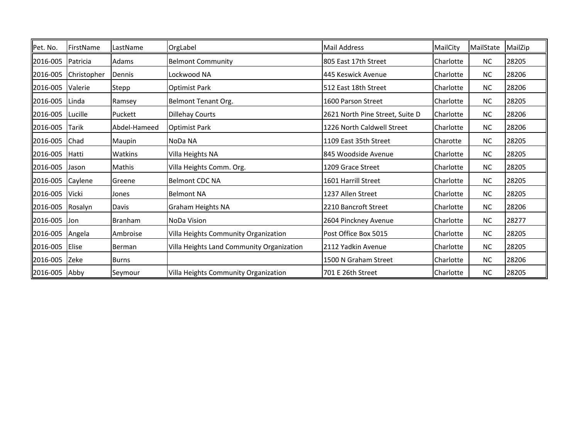| Pet. No.      | FirstName   | LastName      | OrgLabel                                  | Mail Address                    | MailCity  | MailState | MailZip |
|---------------|-------------|---------------|-------------------------------------------|---------------------------------|-----------|-----------|---------|
| 2016-005      | Patricia    | Adams         | <b>Belmont Community</b>                  | 805 East 17th Street            | Charlotte | <b>NC</b> | 28205   |
| 2016-005      | Christopher | Dennis        | Lockwood NA                               | 445 Keswick Avenue              | Charlotte | <b>NC</b> | 28206   |
| 2016-005      | Valerie     | Stepp         | <b>Optimist Park</b>                      | 512 East 18th Street            | Charlotte | <b>NC</b> | 28206   |
| 2016-005      | Linda       | Ramsey        | Belmont Tenant Org.                       | 1600 Parson Street              | Charlotte | <b>NC</b> | 28205   |
| 2016-005      | Lucille     | Puckett       | <b>Dillehay Courts</b>                    | 2621 North Pine Street, Suite D | Charlotte | <b>NC</b> | 28206   |
| 2016-005      | Tarik       | Abdel-Hameed  | <b>Optimist Park</b>                      | 1226 North Caldwell Street      | Charlotte | <b>NC</b> | 28206   |
| 2016-005      | Chad        | Maupin        | NoDa NA                                   | 1109 East 35th Street           | Charotte  | <b>NC</b> | 28205   |
| 2016-005      | Hatti       | Watkins       | Villa Heights NA                          | 845 Woodside Avenue             | Charlotte | <b>NC</b> | 28205   |
| 2016-005      | Jason       | <b>Mathis</b> | Villa Heights Comm. Org.                  | 1209 Grace Street               | Charlotte | <b>NC</b> | 28205   |
| 2016-005      | Caylene     | Greene        | <b>Belmont CDC NA</b>                     | 1601 Harrill Street             | Charlotte | <b>NC</b> | 28205   |
| 2016-005      | Vicki       | Jones         | <b>Belmont NA</b>                         | 1237 Allen Street               | Charlotte | <b>NC</b> | 28205   |
| 2016-005      | Rosalyn     | Davis         | <b>Graham Heights NA</b>                  | 2210 Bancroft Street            | Charlotte | <b>NC</b> | 28206   |
| 2016-005      | Jon         | Branham       | <b>NoDa Vision</b>                        | 2604 Pinckney Avenue            | Charlotte | <b>NC</b> | 28277   |
| 2016-005      | Angela      | Ambroise      | Villa Heights Community Organization      | Post Office Box 5015            | Charlotte | <b>NC</b> | 28205   |
| 2016-005      | Elise       | Berman        | Villa Heights Land Community Organization | 2112 Yadkin Avenue              | Charlotte | <b>NC</b> | 28205   |
| 2016-005      | Zeke        | Burns         |                                           | 1500 N Graham Street            | Charlotte | <b>NC</b> | 28206   |
| 2016-005 Abby |             | Seymour       | Villa Heights Community Organization      | 701 E 26th Street               | Charlotte | <b>NC</b> | 28205   |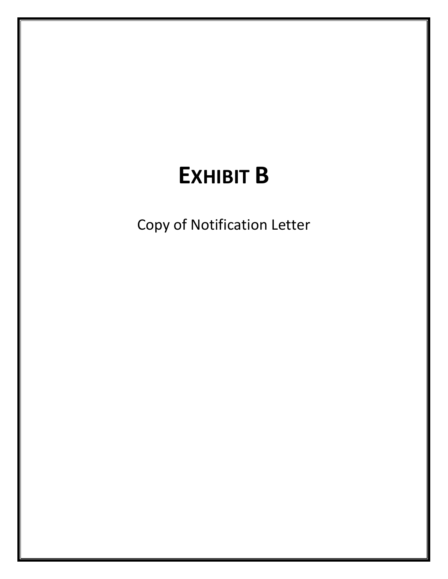# **EXHIBIT B**

Copy of Notification Letter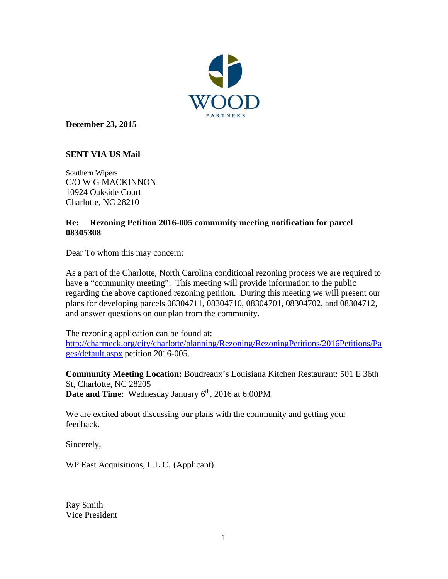

**December 23, 2015** 

# **SENT VIA US Mail**

Southern Wipers C/O W G MACKINNON 10924 Oakside Court Charlotte, NC 28210

# **Re: Rezoning Petition 2016-005 community meeting notification for parcel 08305308**

Dear To whom this may concern:

As a part of the Charlotte, North Carolina conditional rezoning process we are required to have a "community meeting". This meeting will provide information to the public regarding the above captioned rezoning petition. During this meeting we will present our plans for developing parcels 08304711, 08304710, 08304701, 08304702, and 08304712, and answer questions on our plan from the community.

The rezoning application can be found at: http://charmeck.org/city/charlotte/planning/Rezoning/RezoningPetitions/2016Petitions/Pa ges/default.aspx petition 2016-005.

**Community Meeting Location:** Boudreaux's Louisiana Kitchen Restaurant: 501 E 36th St, Charlotte, NC 28205 **Date and Time**: Wednesday January 6<sup>th</sup>, 2016 at 6:00PM

We are excited about discussing our plans with the community and getting your feedback.

Sincerely,

WP East Acquisitions, L.L.C. (Applicant)

Ray Smith Vice President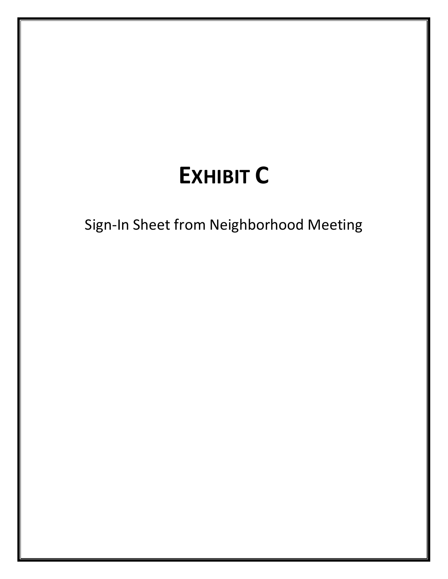# **EXHIBIT C**

Sign-In Sheet from Neighborhood Meeting